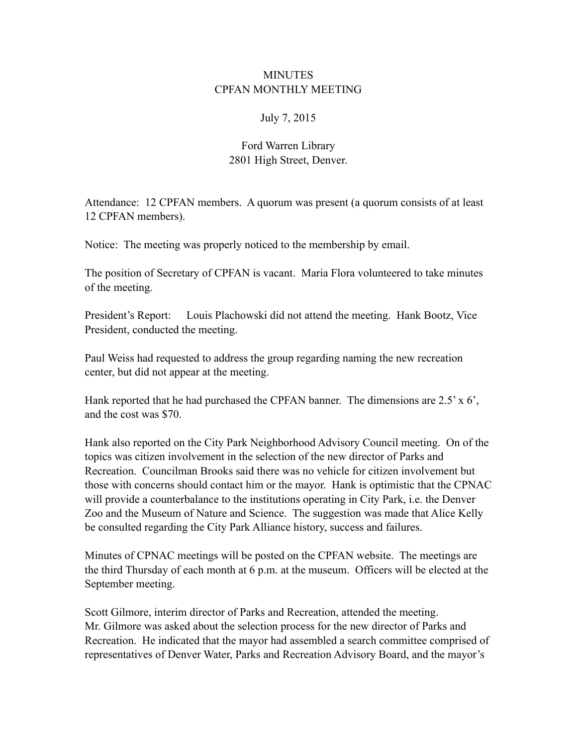## **MINUTES** CPFAN MONTHLY MEETING

## July 7, 2015

## Ford Warren Library 2801 High Street, Denver.

Attendance: 12 CPFAN members. A quorum was present (a quorum consists of at least 12 CPFAN members).

Notice: The meeting was properly noticed to the membership by email.

The position of Secretary of CPFAN is vacant. Maria Flora volunteered to take minutes of the meeting.

President's Report: Louis Plachowski did not attend the meeting. Hank Bootz, Vice President, conducted the meeting.

Paul Weiss had requested to address the group regarding naming the new recreation center, but did not appear at the meeting.

Hank reported that he had purchased the CPFAN banner. The dimensions are 2.5' x 6', and the cost was \$70.

Hank also reported on the City Park Neighborhood Advisory Council meeting. On of the topics was citizen involvement in the selection of the new director of Parks and Recreation. Councilman Brooks said there was no vehicle for citizen involvement but those with concerns should contact him or the mayor. Hank is optimistic that the CPNAC will provide a counterbalance to the institutions operating in City Park, i.e. the Denver Zoo and the Museum of Nature and Science. The suggestion was made that Alice Kelly be consulted regarding the City Park Alliance history, success and failures.

Minutes of CPNAC meetings will be posted on the CPFAN website. The meetings are the third Thursday of each month at 6 p.m. at the museum. Officers will be elected at the September meeting.

Scott Gilmore, interim director of Parks and Recreation, attended the meeting. Mr. Gilmore was asked about the selection process for the new director of Parks and Recreation. He indicated that the mayor had assembled a search committee comprised of representatives of Denver Water, Parks and Recreation Advisory Board, and the mayor's